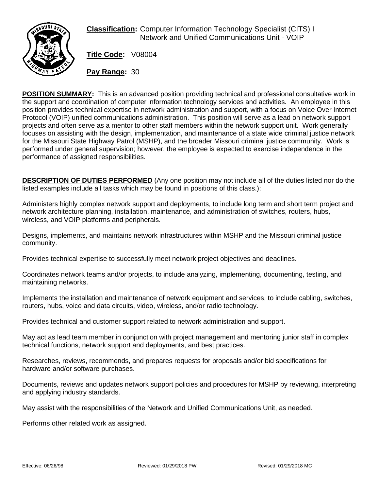

**Classification:** Computer Information Technology Specialist (CITS) I Network and Unified Communications Unit - VOIP

**Title Code:** V08004

**Pay Range:** 30

**POSITION SUMMARY:** This is an advanced position providing technical and professional consultative work in the support and coordination of computer information technology services and activities. An employee in this position provides technical expertise in network administration and support, with a focus on Voice Over Internet Protocol (VOIP) unified communications administration. This position will serve as a lead on network support projects and often serve as a mentor to other staff members within the network support unit. Work generally focuses on assisting with the design, implementation, and maintenance of a state wide criminal justice network for the Missouri State Highway Patrol (MSHP), and the broader Missouri criminal justice community. Work is performed under general supervision; however, the employee is expected to exercise independence in the performance of assigned responsibilities.

**DESCRIPTION OF DUTIES PERFORMED** (Any one position may not include all of the duties listed nor do the listed examples include all tasks which may be found in positions of this class.):

Administers highly complex network support and deployments, to include long term and short term project and network architecture planning, installation, maintenance, and administration of switches, routers, hubs, wireless, and VOIP platforms and peripherals.

Designs, implements, and maintains network infrastructures within MSHP and the Missouri criminal justice community.

Provides technical expertise to successfully meet network project objectives and deadlines.

Coordinates network teams and/or projects, to include analyzing, implementing, documenting, testing, and maintaining networks.

Implements the installation and maintenance of network equipment and services, to include cabling, switches, routers, hubs, voice and data circuits, video, wireless, and/or radio technology.

Provides technical and customer support related to network administration and support.

May act as lead team member in conjunction with project management and mentoring junior staff in complex technical functions, network support and deployments, and best practices.

Researches, reviews, recommends, and prepares requests for proposals and/or bid specifications for hardware and/or software purchases.

Documents, reviews and updates network support policies and procedures for MSHP by reviewing, interpreting and applying industry standards.

May assist with the responsibilities of the Network and Unified Communications Unit, as needed.

Performs other related work as assigned.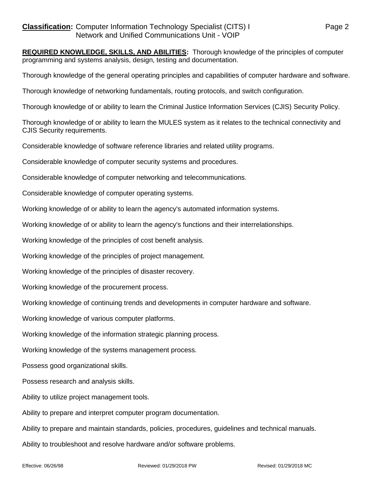**REQUIRED KNOWLEDGE, SKILLS, AND ABILITIES:** Thorough knowledge of the principles of computer programming and systems analysis, design, testing and documentation.

Thorough knowledge of the general operating principles and capabilities of computer hardware and software.

Thorough knowledge of networking fundamentals, routing protocols, and switch configuration.

Thorough knowledge of or ability to learn the Criminal Justice Information Services (CJIS) Security Policy.

Thorough knowledge of or ability to learn the MULES system as it relates to the technical connectivity and CJIS Security requirements.

Considerable knowledge of software reference libraries and related utility programs.

Considerable knowledge of computer security systems and procedures.

Considerable knowledge of computer networking and telecommunications.

Considerable knowledge of computer operating systems.

Working knowledge of or ability to learn the agency's automated information systems.

Working knowledge of or ability to learn the agency's functions and their interrelationships.

Working knowledge of the principles of cost benefit analysis.

Working knowledge of the principles of project management.

Working knowledge of the principles of disaster recovery.

Working knowledge of the procurement process.

Working knowledge of continuing trends and developments in computer hardware and software.

Working knowledge of various computer platforms.

Working knowledge of the information strategic planning process.

Working knowledge of the systems management process.

Possess good organizational skills.

Possess research and analysis skills.

Ability to utilize project management tools.

Ability to prepare and interpret computer program documentation.

Ability to prepare and maintain standards, policies, procedures, guidelines and technical manuals.

Ability to troubleshoot and resolve hardware and/or software problems.